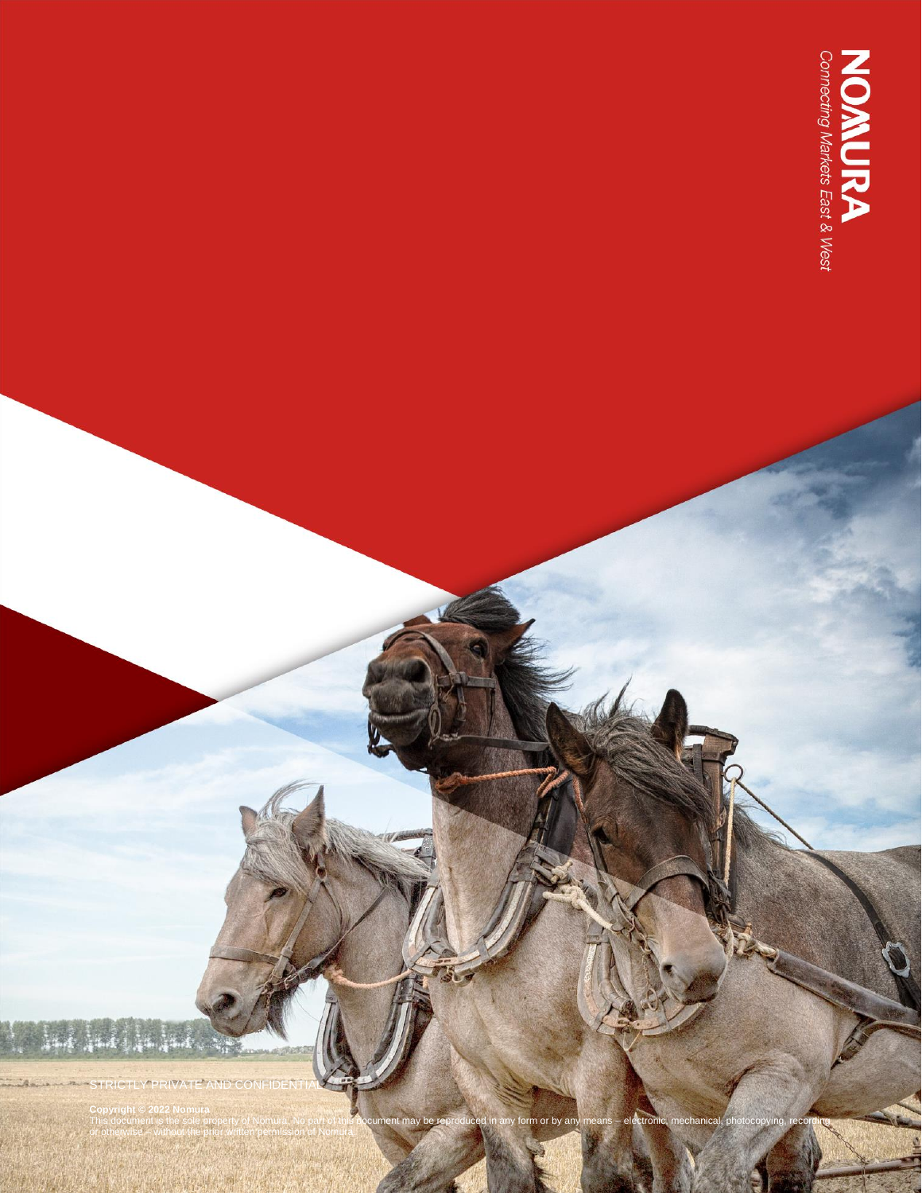**NOMURA**<br>Connecting Markets East & West

STRICTLY PRIVATE AND CONFIDENTIAL

#### **Copyright © 2022 Nomura**

This document is the sole property of Nomura. No part of this document may be reproduced in any form or by any means – electronic, mechanical, photocopying, recording or otherwise – without the prior written permission of Nomura.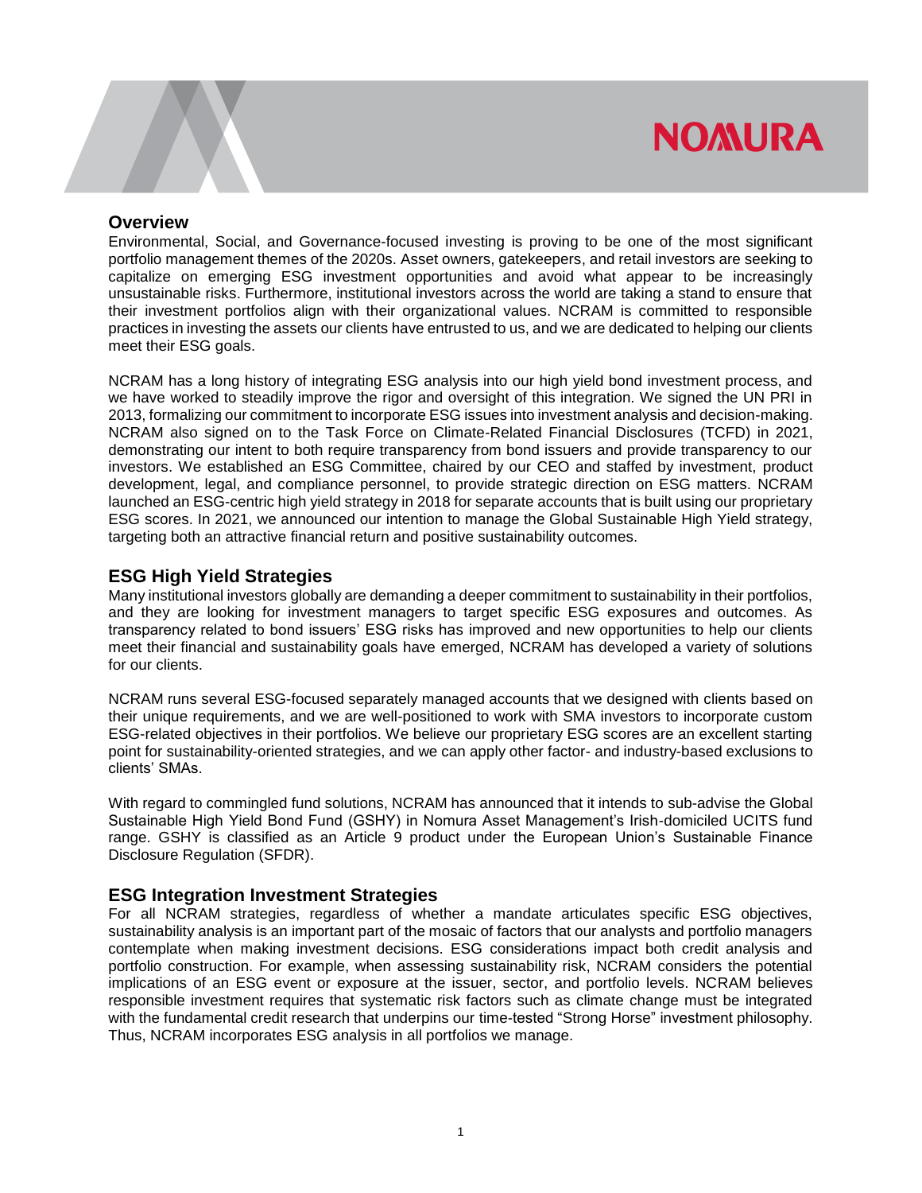#### **Overview**

Environmental, Social, and Governance-focused investing is proving to be one of the most significant portfolio management themes of the 2020s. Asset owners, gatekeepers, and retail investors are seeking to capitalize on emerging ESG investment opportunities and avoid what appear to be increasingly unsustainable risks. Furthermore, institutional investors across the world are taking a stand to ensure that their investment portfolios align with their organizational values. NCRAM is committed to responsible practices in investing the assets our clients have entrusted to us, and we are dedicated to helping our clients meet their ESG goals.

NCRAM has a long history of integrating ESG analysis into our high yield bond investment process, and we have worked to steadily improve the rigor and oversight of this integration. We signed the UN PRI in 2013, formalizing our commitment to incorporate ESG issues into investment analysis and decision-making. NCRAM also signed on to the Task Force on Climate-Related Financial Disclosures (TCFD) in 2021, demonstrating our intent to both require transparency from bond issuers and provide transparency to our investors. We established an ESG Committee, chaired by our CEO and staffed by investment, product development, legal, and compliance personnel, to provide strategic direction on ESG matters. NCRAM launched an ESG-centric high yield strategy in 2018 for separate accounts that is built using our proprietary ESG scores. In 2021, we announced our intention to manage the Global Sustainable High Yield strategy, targeting both an attractive financial return and positive sustainability outcomes.

#### **ESG High Yield Strategies**

Many institutional investors globally are demanding a deeper commitment to sustainability in their portfolios, and they are looking for investment managers to target specific ESG exposures and outcomes. As transparency related to bond issuers' ESG risks has improved and new opportunities to help our clients meet their financial and sustainability goals have emerged, NCRAM has developed a variety of solutions for our clients.

NCRAM runs several ESG-focused separately managed accounts that we designed with clients based on their unique requirements, and we are well-positioned to work with SMA investors to incorporate custom ESG-related objectives in their portfolios. We believe our proprietary ESG scores are an excellent starting point for sustainability-oriented strategies, and we can apply other factor- and industry-based exclusions to clients' SMAs.

With regard to commingled fund solutions, NCRAM has announced that it intends to sub-advise the Global Sustainable High Yield Bond Fund (GSHY) in Nomura Asset Management's Irish-domiciled UCITS fund range. GSHY is classified as an Article 9 product under the European Union's Sustainable Finance Disclosure Regulation (SFDR).

#### **ESG Integration Investment Strategies**

For all NCRAM strategies, regardless of whether a mandate articulates specific ESG objectives, sustainability analysis is an important part of the mosaic of factors that our analysts and portfolio managers contemplate when making investment decisions. ESG considerations impact both credit analysis and portfolio construction. For example, when assessing sustainability risk, NCRAM considers the potential implications of an ESG event or exposure at the issuer, sector, and portfolio levels. NCRAM believes responsible investment requires that systematic risk factors such as climate change must be integrated with the fundamental credit research that underpins our time-tested "Strong Horse" investment philosophy. Thus, NCRAM incorporates ESG analysis in all portfolios we manage.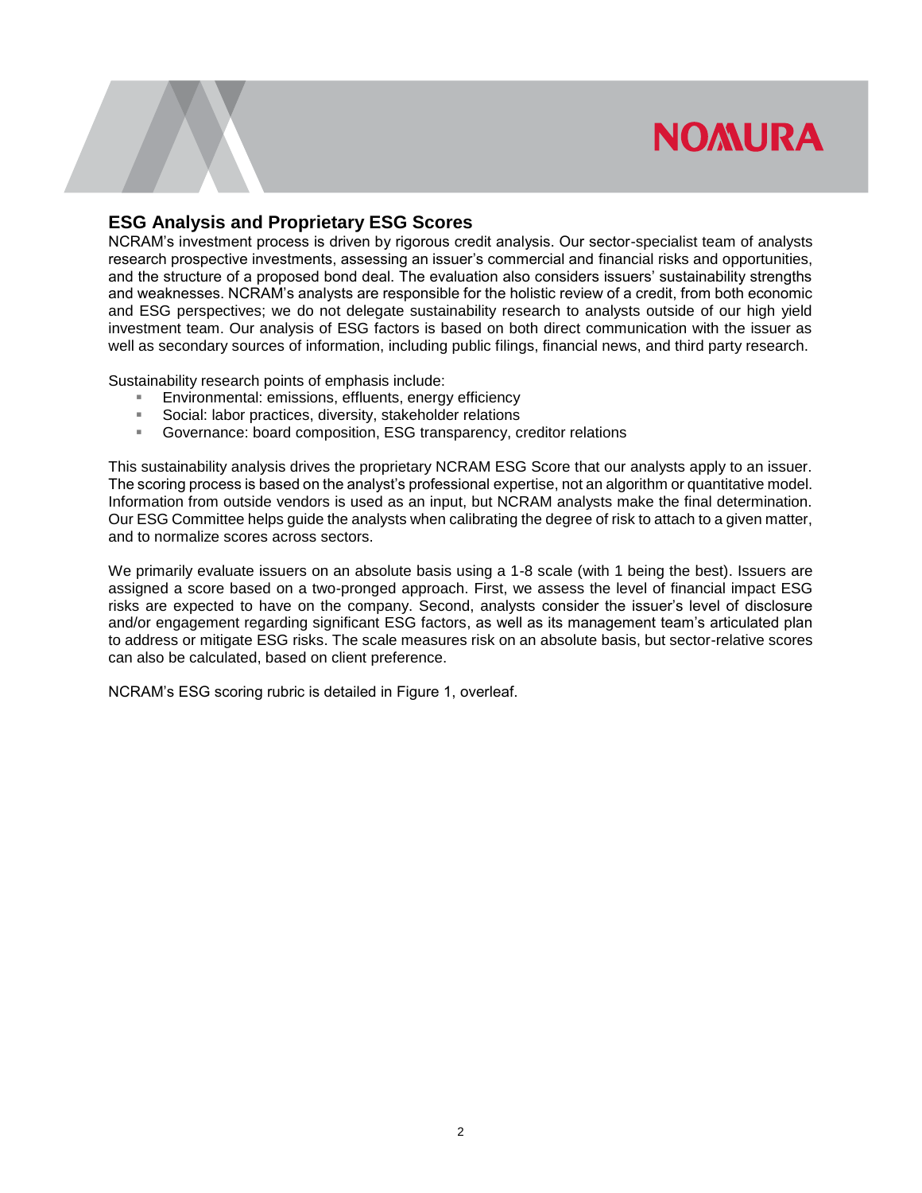### **ESG Analysis and Proprietary ESG Scores**

NCRAM's investment process is driven by rigorous credit analysis. Our sector-specialist team of analysts research prospective investments, assessing an issuer's commercial and financial risks and opportunities, and the structure of a proposed bond deal. The evaluation also considers issuers' sustainability strengths and weaknesses. NCRAM's analysts are responsible for the holistic review of a credit, from both economic and ESG perspectives; we do not delegate sustainability research to analysts outside of our high yield investment team. Our analysis of ESG factors is based on both direct communication with the issuer as well as secondary sources of information, including public filings, financial news, and third party research.

Sustainability research points of emphasis include:

- **Environmental: emissions, effluents, energy efficiency**<br>**EXEC** Social: labor practices, diversity, stakeholder relations
- Social: labor practices, diversity, stakeholder relations<br>Covernance: board composition FSG transparency c
- Governance: board composition, ESG transparency, creditor relations

This sustainability analysis drives the proprietary NCRAM ESG Score that our analysts apply to an issuer. The scoring process is based on the analyst's professional expertise, not an algorithm or quantitative model. Information from outside vendors is used as an input, but NCRAM analysts make the final determination. Our ESG Committee helps guide the analysts when calibrating the degree of risk to attach to a given matter, and to normalize scores across sectors.

We primarily evaluate issuers on an absolute basis using a 1-8 scale (with 1 being the best). Issuers are assigned a score based on a two-pronged approach. First, we assess the level of financial impact ESG risks are expected to have on the company. Second, analysts consider the issuer's level of disclosure and/or engagement regarding significant ESG factors, as well as its management team's articulated plan to address or mitigate ESG risks. The scale measures risk on an absolute basis, but sector-relative scores can also be calculated, based on client preference.

NCRAM's ESG scoring rubric is detailed in Figure 1, overleaf.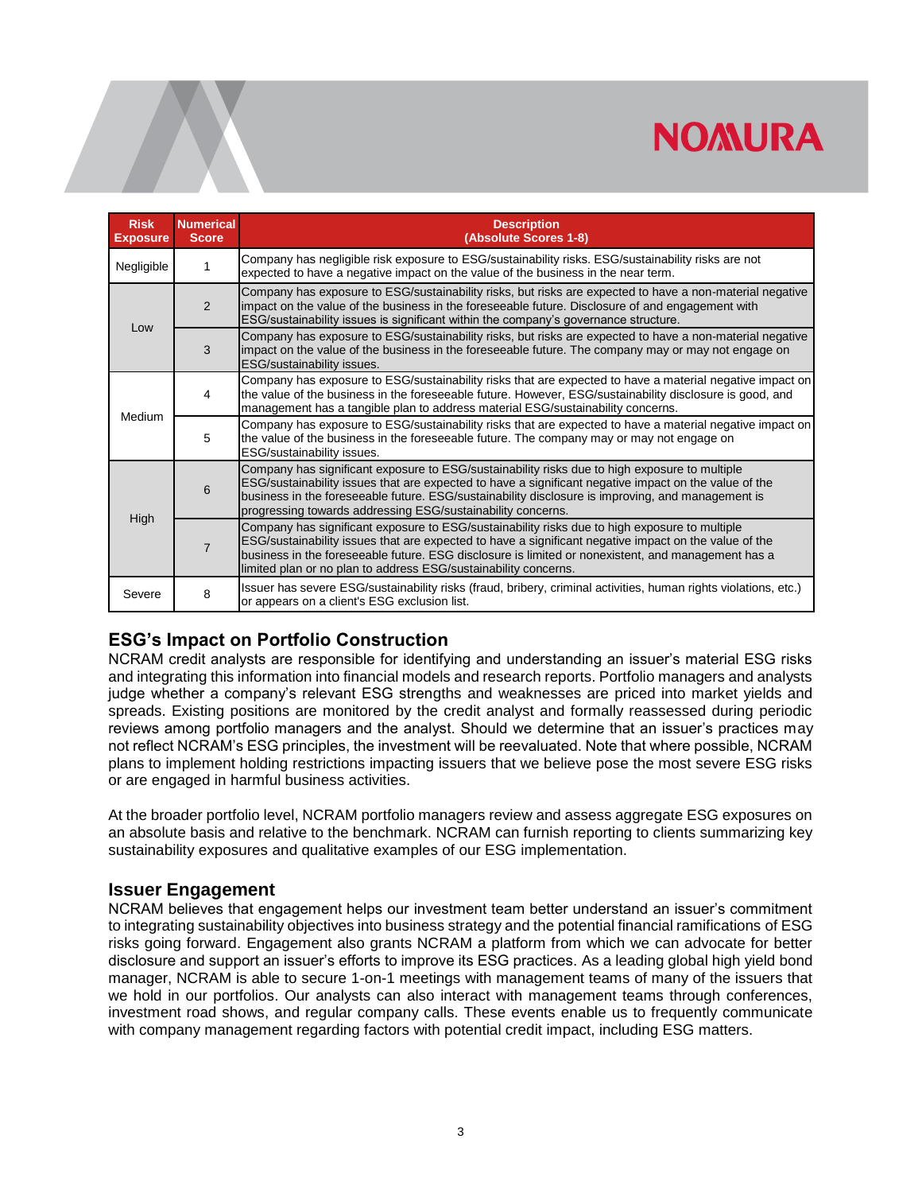| <b>Risk</b><br><b>Exposure</b> | <b>Numerical</b><br><b>Score</b> | <b>Description</b><br>(Absolute Scores 1-8)                                                                                                                                                                                                                                                                                                                                     |
|--------------------------------|----------------------------------|---------------------------------------------------------------------------------------------------------------------------------------------------------------------------------------------------------------------------------------------------------------------------------------------------------------------------------------------------------------------------------|
| Negligible                     |                                  | Company has negligible risk exposure to ESG/sustainability risks. ESG/sustainability risks are not<br>expected to have a negative impact on the value of the business in the near term.                                                                                                                                                                                         |
| Low                            | 2                                | Company has exposure to ESG/sustainability risks, but risks are expected to have a non-material negative<br>impact on the value of the business in the foreseeable future. Disclosure of and engagement with<br>ESG/sustainability issues is significant within the company's governance structure.                                                                             |
|                                | 3                                | Company has exposure to ESG/sustainability risks, but risks are expected to have a non-material negative<br>impact on the value of the business in the foreseeable future. The company may or may not engage on<br>ESG/sustainability issues.                                                                                                                                   |
| Medium                         | 4                                | Company has exposure to ESG/sustainability risks that are expected to have a material negative impact on<br>the value of the business in the foreseeable future. However, ESG/sustainability disclosure is good, and<br>management has a tangible plan to address material ESG/sustainability concerns.                                                                         |
|                                | 5                                | Company has exposure to ESG/sustainability risks that are expected to have a material negative impact on<br>the value of the business in the foreseeable future. The company may or may not engage on<br>ESG/sustainability issues.                                                                                                                                             |
| High                           | 6                                | Company has significant exposure to ESG/sustainability risks due to high exposure to multiple<br>ESG/sustainability issues that are expected to have a significant negative impact on the value of the<br>business in the foreseeable future. ESG/sustainability disclosure is improving, and management is<br>progressing towards addressing ESG/sustainability concerns.      |
|                                | $\overline{7}$                   | Company has significant exposure to ESG/sustainability risks due to high exposure to multiple<br>ESG/sustainability issues that are expected to have a significant negative impact on the value of the<br>business in the foreseeable future. ESG disclosure is limited or nonexistent, and management has a<br>limited plan or no plan to address ESG/sustainability concerns. |
| Severe                         | 8                                | Issuer has severe ESG/sustainability risks (fraud, bribery, criminal activities, human rights violations, etc.)<br>or appears on a client's ESG exclusion list.                                                                                                                                                                                                                 |

### **ESG's Impact on Portfolio Construction**

NCRAM credit analysts are responsible for identifying and understanding an issuer's material ESG risks and integrating this information into financial models and research reports. Portfolio managers and analysts judge whether a company's relevant ESG strengths and weaknesses are priced into market yields and spreads. Existing positions are monitored by the credit analyst and formally reassessed during periodic reviews among portfolio managers and the analyst. Should we determine that an issuer's practices may not reflect NCRAM's ESG principles, the investment will be reevaluated. Note that where possible, NCRAM plans to implement holding restrictions impacting issuers that we believe pose the most severe ESG risks or are engaged in harmful business activities.

At the broader portfolio level, NCRAM portfolio managers review and assess aggregate ESG exposures on an absolute basis and relative to the benchmark. NCRAM can furnish reporting to clients summarizing key sustainability exposures and qualitative examples of our ESG implementation.

#### **Issuer Engagement**

NCRAM believes that engagement helps our investment team better understand an issuer's commitment to integrating sustainability objectives into business strategy and the potential financial ramifications of ESG risks going forward. Engagement also grants NCRAM a platform from which we can advocate for better disclosure and support an issuer's efforts to improve its ESG practices. As a leading global high yield bond manager, NCRAM is able to secure 1-on-1 meetings with management teams of many of the issuers that we hold in our portfolios. Our analysts can also interact with management teams through conferences, investment road shows, and regular company calls. These events enable us to frequently communicate with company management regarding factors with potential credit impact, including ESG matters.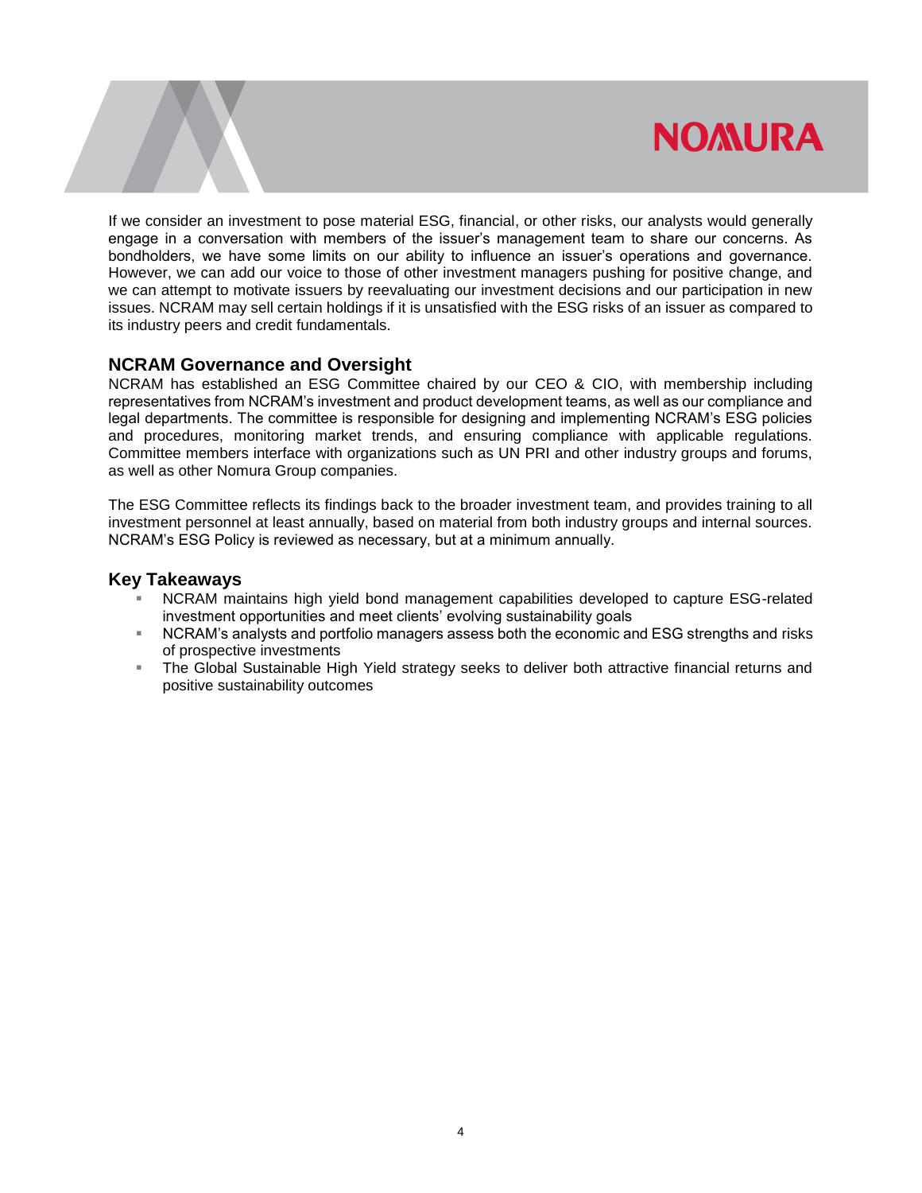If we consider an investment to pose material ESG, financial, or other risks, our analysts would generally engage in a conversation with members of the issuer's management team to share our concerns. As bondholders, we have some limits on our ability to influence an issuer's operations and governance. However, we can add our voice to those of other investment managers pushing for positive change, and we can attempt to motivate issuers by reevaluating our investment decisions and our participation in new issues. NCRAM may sell certain holdings if it is unsatisfied with the ESG risks of an issuer as compared to its industry peers and credit fundamentals.

#### **NCRAM Governance and Oversight**

NCRAM has established an ESG Committee chaired by our CEO & CIO, with membership including representatives from NCRAM's investment and product development teams, as well as our compliance and legal departments. The committee is responsible for designing and implementing NCRAM's ESG policies and procedures, monitoring market trends, and ensuring compliance with applicable regulations. Committee members interface with organizations such as UN PRI and other industry groups and forums, as well as other Nomura Group companies.

The ESG Committee reflects its findings back to the broader investment team, and provides training to all investment personnel at least annually, based on material from both industry groups and internal sources. NCRAM's ESG Policy is reviewed as necessary, but at a minimum annually.

#### **Key Takeaways**

- NCRAM maintains high yield bond management capabilities developed to capture ESG-related investment opportunities and meet clients' evolving sustainability goals
- NCRAM's analysts and portfolio managers assess both the economic and ESG strengths and risks of prospective investments
- The Global Sustainable High Yield strategy seeks to deliver both attractive financial returns and positive sustainability outcomes